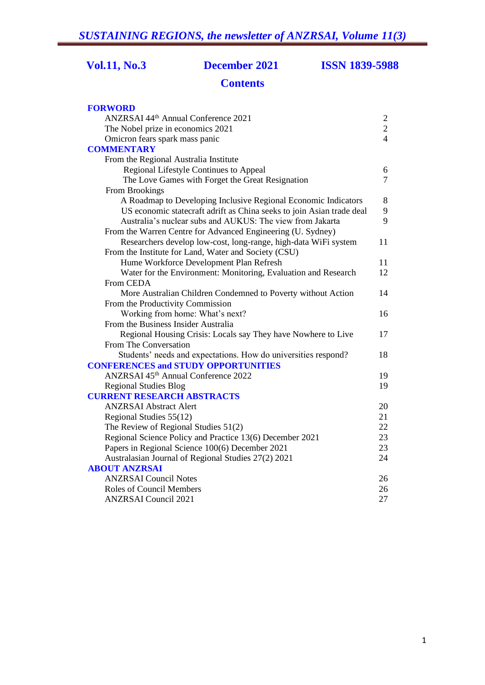# **Vol.11, No.3 December 2021 ISSN 1839-5988**

# **Contents**

| <b>FORWORD</b>                                                        |                |
|-----------------------------------------------------------------------|----------------|
| ANZRSAI 44th Annual Conference 2021                                   | $\overline{2}$ |
| The Nobel prize in economics 2021                                     | $\sqrt{2}$     |
| Omicron fears spark mass panic                                        | $\overline{4}$ |
| <b>COMMENTARY</b>                                                     |                |
| From the Regional Australia Institute                                 |                |
| Regional Lifestyle Continues to Appeal                                | 6              |
| The Love Games with Forget the Great Resignation                      | $\overline{7}$ |
| From Brookings                                                        |                |
| A Roadmap to Developing Inclusive Regional Economic Indicators        | 8              |
| US economic statecraft adrift as China seeks to join Asian trade deal | 9              |
| Australia's nuclear subs and AUKUS: The view from Jakarta             | 9              |
| From the Warren Centre for Advanced Engineering (U. Sydney)           |                |
| Researchers develop low-cost, long-range, high-data WiFi system       | 11             |
| From the Institute for Land, Water and Society (CSU)                  |                |
| Hume Workforce Development Plan Refresh                               | 11             |
| Water for the Environment: Monitoring, Evaluation and Research        | 12             |
| From CEDA                                                             |                |
| More Australian Children Condemned to Poverty without Action          | 14             |
| From the Productivity Commission                                      |                |
| Working from home: What's next?                                       | 16             |
| From the Business Insider Australia                                   |                |
| Regional Housing Crisis: Locals say They have Nowhere to Live         | 17             |
| From The Conversation                                                 |                |
| Students' needs and expectations. How do universities respond?        | 18             |
| <b>CONFERENCES and STUDY OPPORTUNITIES</b>                            |                |
| ANZRSAI 45th Annual Conference 2022                                   | 19             |
| <b>Regional Studies Blog</b>                                          | 19             |
| <b>CURRENT RESEARCH ABSTRACTS</b>                                     |                |
| <b>ANZRSAI</b> Abstract Alert                                         | 20             |
| Regional Studies 55(12)                                               | 21             |
| The Review of Regional Studies 51(2)                                  | 22             |
| Regional Science Policy and Practice 13(6) December 2021              | 23             |
| Papers in Regional Science 100(6) December 2021                       | 23             |
| Australasian Journal of Regional Studies 27(2) 2021                   | 24             |
| <b>ABOUT ANZRSAI</b>                                                  |                |
| <b>ANZRSAI</b> Council Notes                                          | 26             |
| <b>Roles of Council Members</b>                                       | 26             |
| <b>ANZRSAI Council 2021</b>                                           | 27             |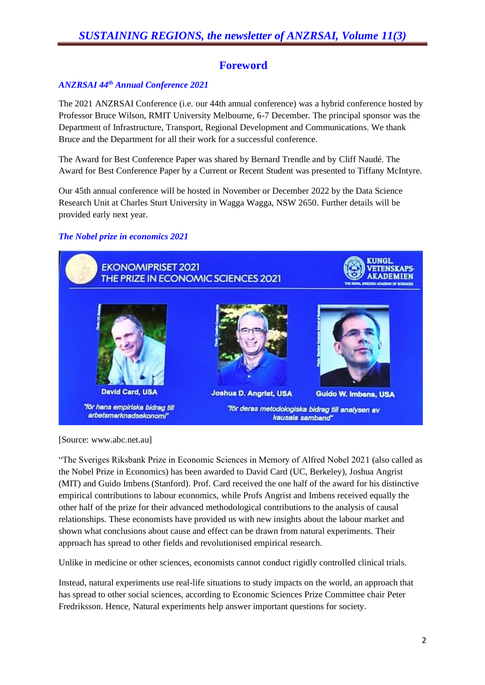# **Foreword**

# *ANZRSAI 44th Annual Conference 2021*

The 2021 ANZRSAI Conference (i.e. our 44th annual conference) was a hybrid conference hosted by Professor Bruce Wilson, RMIT University Melbourne, 6-7 December. The principal sponsor was the Department of Infrastructure, Transport, Regional Development and Communications. We thank Bruce and the Department for all their work for a successful conference.

The Award for Best Conference Paper was shared by Bernard Trendle and by Cliff Naudé. The Award for Best Conference Paper by a Current or Recent Student was presented to Tiffany McIntyre.

Our 45th annual conference will be hosted in November or December 2022 by the Data Science Research Unit at Charles Sturt University in Wagga Wagga, NSW 2650. Further details will be provided early next year.

#### *The Nobel prize in economics 2021*



[Source: www.abc.net.au]

"The Sveriges Riksbank Prize in Economic Sciences in Memory of Alfred Nobel 2021 (also called as the Nobel Prize in Economics) has been awarded to David Card (UC, Berkeley), Joshua Angrist (MIT) and Guido Imbens (Stanford). Prof. Card received the one half of the award for his distinctive empirical contributions to labour economics, while Profs Angrist and Imbens received equally the other half of the prize for their advanced methodological contributions to the analysis of causal relationships. These economists have provided us with new insights about the labour market and shown what conclusions about cause and effect can be drawn from natural experiments. Their approach has spread to other fields and revolutionised empirical research.

Unlike in medicine or other sciences, economists cannot conduct rigidly controlled clinical trials.

Instead, natural experiments use real-life situations to study impacts on the world, an approach that has spread to other social sciences, according to Economic Sciences Prize Committee chair Peter Fredriksson. Hence, Natural experiments help answer important questions for society.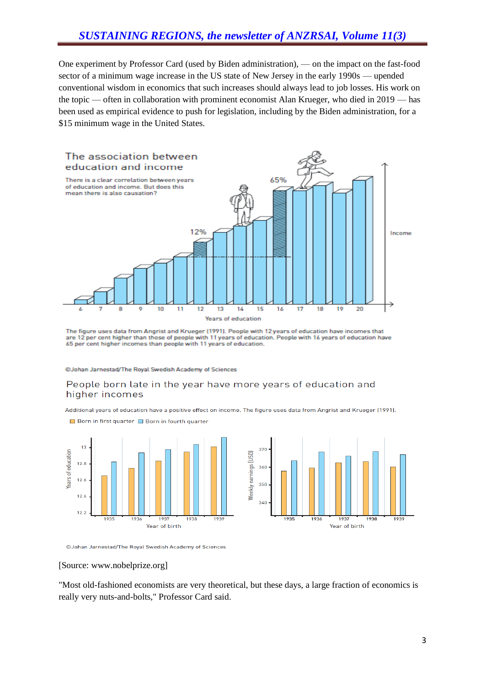One experiment by Professor Card (used by Biden administration), — on the impact on the fast-food sector of a minimum wage increase in the US state of New Jersey in the early 1990s — upended conventional wisdom in economics that such increases should always lead to job losses. His work on the topic — often in collaboration with prominent economist Alan Krueger, who died in 2019 — has been used as empirical evidence to push for legislation, including by the Biden administration, for a \$15 minimum wage in the United States.



The figure uses data from Angrist and Krueger (1991). People with 12 years of education have incomes that are 12 per cent higher than those of people with 11 years of education. People with 16 years of education have 65 per cent higher incomes than people with 11 years of education.

@Johan Jarnestad/The Royal Swedish Academy of Sciences

#### People born late in the year have more years of education and higher incomes

Additional years of education have a positive effect on income. The figure uses data from Angrist and Krueger (1991).



Born in first quarter Born in fourth quarter

©Johan Jarnestad/The Roval Swedish Academy of Sciences

#### [Source: www.nobelprize.org]

"Most old-fashioned economists are very theoretical, but these days, a large fraction of economics is really very nuts-and-bolts," Professor Card said.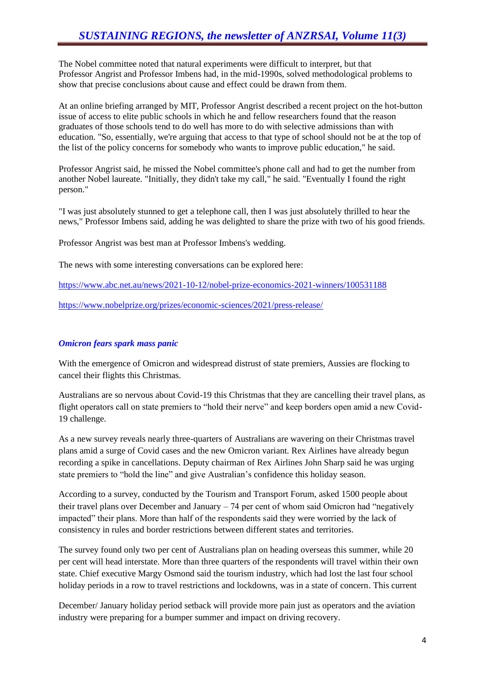The Nobel committee noted that natural experiments were difficult to interpret, but that Professor Angrist and Professor Imbens had, in the mid-1990s, solved methodological problems to show that precise conclusions about cause and effect could be drawn from them.

At an online briefing arranged by MIT, Professor Angrist described a recent project on the hot-button issue of access to elite public schools in which he and fellow researchers found that the reason graduates of those schools tend to do well has more to do with selective admissions than with education. "So, essentially, we're arguing that access to that type of school should not be at the top of the list of the policy concerns for somebody who wants to improve public education," he said.

Professor Angrist said, he missed the Nobel committee's phone call and had to get the number from another Nobel laureate. "Initially, they didn't take my call," he said. "Eventually I found the right person."

"I was just absolutely stunned to get a telephone call, then I was just absolutely thrilled to hear the news," Professor Imbens said, adding he was delighted to share the prize with two of his good friends.

Professor Angrist was best man at Professor Imbens's wedding.

The news with some interesting conversations can be explored here:

<https://www.abc.net.au/news/2021-10-12/nobel-prize-economics-2021-winners/100531188>

<https://www.nobelprize.org/prizes/economic-sciences/2021/press-release/>

#### *Omicron fears spark mass panic*

With the emergence of Omicron and widespread distrust of state premiers, Aussies are flocking to cancel their flights this Christmas.

Australians are so nervous about Covid-19 this Christmas that they are cancelling their travel plans, as flight operators call on state premiers to "hold their nerve" and keep borders open amid a new Covid-19 challenge.

As a new survey reveals nearly three-quarters of Australians are wavering on their Christmas travel plans amid a surge of Covid cases and the new Omicron variant. Rex Airlines have already begun recording a spike in cancellations. Deputy chairman of Rex Airlines John Sharp said he was urging state premiers to "hold the line" and give Australian's confidence this holiday season.

According to a survey, conducted by the Tourism and Transport Forum, asked 1500 people about their travel plans over December and January – 74 per cent of whom said Omicron had "negatively impacted" their plans. More than half of the respondents said they were worried by the lack of consistency in rules and border restrictions between different states and territories.

The survey found only two per cent of Australians plan on heading overseas this summer, while 20 per cent will head interstate. More than three quarters of the respondents will travel within their own state. Chief executive Margy Osmond said the tourism industry, which had lost the last four school holiday periods in a row to travel restrictions and lockdowns, was in a state of concern. This current

December/ January holiday period setback will provide more pain just as operators and the aviation industry were preparing for a bumper summer and impact on driving recovery.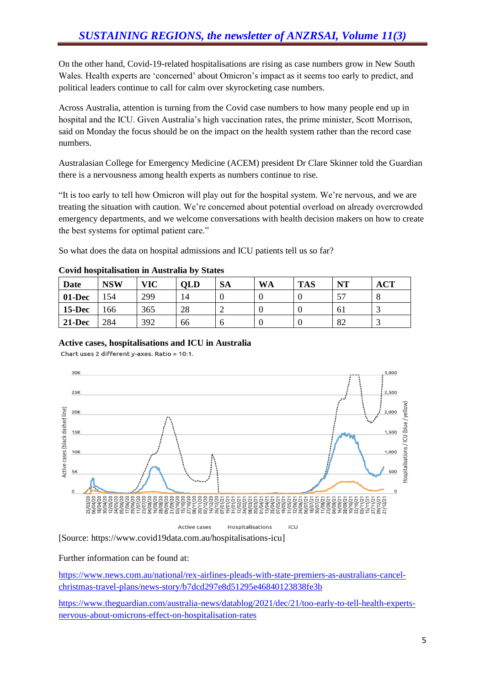On the other hand, Covid-19-related hospitalisations are rising as case numbers grow in New South Wales. Health experts are 'concerned' about Omicron's impact as it seems too early to predict, and political leaders continue to call for calm over skyrocketing case numbers.

Across Australia, attention is turning from the Covid case numbers to how many people end up in hospital and the ICU. Given Australia's high vaccination rates, the prime minister, Scott Morrison, said on Monday the focus should be on the impact on the health system rather than the record case numbers.

Australasian College for Emergency Medicine (ACEM) president Dr Clare Skinner told the Guardian there is a nervousness among health experts as numbers continue to rise.

"It is too early to tell how Omicron will play out for the hospital system. We're nervous, and we are treating the situation with caution. We're concerned about potential overload on already overcrowded emergency departments, and we welcome conversations with health decision makers on how to create the best systems for optimal patient care."

So what does the data on hospital admissions and ICU patients tell us so far?

| .         |            |            |            |           |           |            |    |            |
|-----------|------------|------------|------------|-----------|-----------|------------|----|------------|
| Date      | <b>NSW</b> | <b>VIC</b> | <b>OLD</b> | <b>SA</b> | <b>WA</b> | <b>TAS</b> | NT | <b>ACT</b> |
| 01-Dec    | 154        | 299        | 14         |           |           |            | 57 |            |
| $15$ -Dec | 166        | 365        | 28         |           |           |            | 61 |            |
| $21-Dec$  | 284        | 392        | 66         |           |           |            | 82 |            |

#### **Covid hospitalisation in Australia by States**

#### **Active cases, hospitalisations and ICU in Australia**

Chart uses 2 different y-axes. Ratio = 10:1.



[Source: https://www.covid19data.com.au/hospitalisations-icu]

Further information can be found at:

[https://www.news.com.au/national/rex-airlines-pleads-with-state-premiers-as-australians-cancel](https://www.news.com.au/national/rex-airlines-pleads-with-state-premiers-as-australians-cancel-christmas-travel-plans/news-story/b7dcd297e8d51295e46840123838fe3b)[christmas-travel-plans/news-story/b7dcd297e8d51295e46840123838fe3b](https://www.news.com.au/national/rex-airlines-pleads-with-state-premiers-as-australians-cancel-christmas-travel-plans/news-story/b7dcd297e8d51295e46840123838fe3b)

[https://www.theguardian.com/australia-news/datablog/2021/dec/21/too-early-to-tell-health-experts](https://www.theguardian.com/australia-news/datablog/2021/dec/21/too-early-to-tell-health-experts-nervous-about-omicrons-effect-on-hospitalisation-rates)[nervous-about-omicrons-effect-on-hospitalisation-rates](https://www.theguardian.com/australia-news/datablog/2021/dec/21/too-early-to-tell-health-experts-nervous-about-omicrons-effect-on-hospitalisation-rates)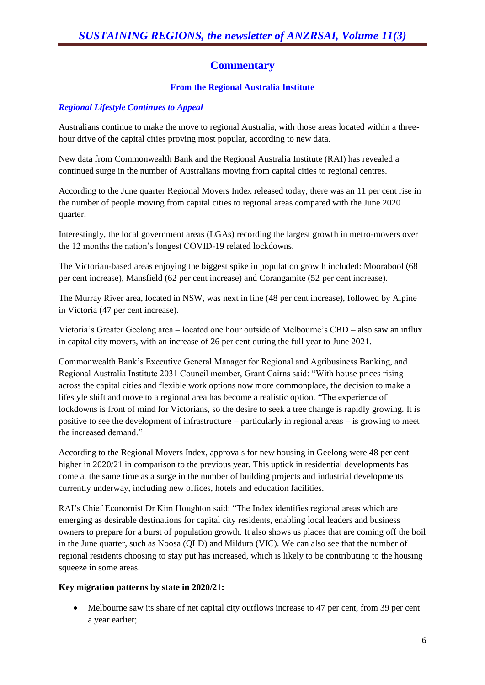# **Commentary**

#### **From the Regional Australia Institute**

# *Regional Lifestyle Continues to Appeal*

Australians continue to make the move to regional Australia, with those areas located within a threehour drive of the capital cities proving most popular, according to new data.

New data from Commonwealth Bank and the Regional Australia Institute (RAI) has revealed a continued surge in the number of Australians moving from capital cities to regional centres.

According to the June quarter Regional Movers Index released today, there was an 11 per cent rise in the number of people moving from capital cities to regional areas compared with the June 2020 quarter.

Interestingly, the local government areas (LGAs) recording the largest growth in metro-movers over the 12 months the nation's longest COVID-19 related lockdowns.

The Victorian-based areas enjoying the biggest spike in population growth included: Moorabool (68 per cent increase), Mansfield (62 per cent increase) and Corangamite (52 per cent increase).

The Murray River area, located in NSW, was next in line (48 per cent increase), followed by Alpine in Victoria (47 per cent increase).

Victoria's Greater Geelong area – located one hour outside of Melbourne's CBD – also saw an influx in capital city movers, with an increase of 26 per cent during the full year to June 2021.

Commonwealth Bank's Executive General Manager for Regional and Agribusiness Banking, and Regional Australia Institute 2031 Council member, Grant Cairns said: "With house prices rising across the capital cities and flexible work options now more commonplace, the decision to make a lifestyle shift and move to a regional area has become a realistic option. "The experience of lockdowns is front of mind for Victorians, so the desire to seek a tree change is rapidly growing. It is positive to see the development of infrastructure – particularly in regional areas – is growing to meet the increased demand."

According to the Regional Movers Index, approvals for new housing in Geelong were 48 per cent higher in 2020/21 in comparison to the previous year. This uptick in residential developments has come at the same time as a surge in the number of building projects and industrial developments currently underway, including new offices, hotels and education facilities.

RAI's Chief Economist Dr Kim Houghton said: "The Index identifies regional areas which are emerging as desirable destinations for capital city residents, enabling local leaders and business owners to prepare for a burst of population growth. It also shows us places that are coming off the boil in the June quarter, such as Noosa (QLD) and Mildura (VIC). We can also see that the number of regional residents choosing to stay put has increased, which is likely to be contributing to the housing squeeze in some areas.

#### **Key migration patterns by state in 2020/21:**

 Melbourne saw its share of net capital city outflows increase to 47 per cent, from 39 per cent a year earlier;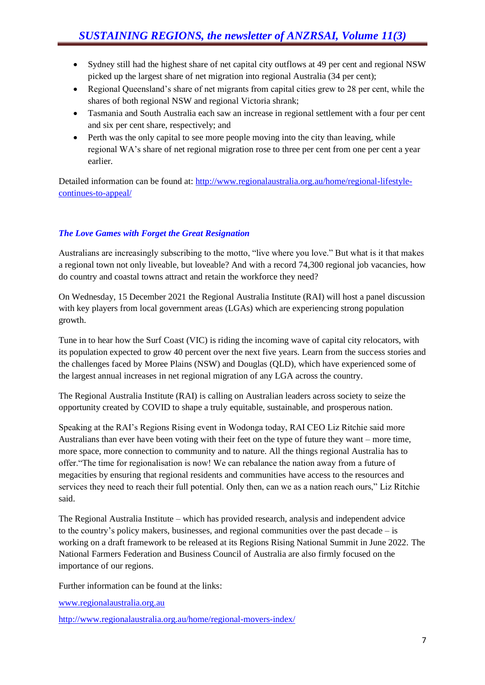- Sydney still had the highest share of net capital city outflows at 49 per cent and regional NSW picked up the largest share of net migration into regional Australia (34 per cent);
- Regional Queensland's share of net migrants from capital cities grew to 28 per cent, while the shares of both regional NSW and regional Victoria shrank;
- Tasmania and South Australia each saw an increase in regional settlement with a four per cent and six per cent share, respectively; and
- Perth was the only capital to see more people moving into the city than leaving, while regional WA's share of net regional migration rose to three per cent from one per cent a year earlier.

Detailed information can be found at: [http://www.regionalaustralia.org.au/home/regional-lifestyle](http://www.regionalaustralia.org.au/home/regional-lifestyle-continues-to-appeal/)[continues-to-appeal/](http://www.regionalaustralia.org.au/home/regional-lifestyle-continues-to-appeal/)

# *The Love Games with Forget the Great Resignation*

Australians are increasingly subscribing to the motto, "live where you love." But what is it that makes a regional town not only liveable, but loveable? And with a record 74,300 regional job vacancies, how do country and coastal towns attract and retain the workforce they need?

On Wednesday, 15 December 2021 the Regional Australia Institute (RAI) will host a panel discussion with key players from local government areas (LGAs) which are experiencing strong population growth.

Tune in to hear how the Surf Coast (VIC) is riding the incoming wave of capital city relocators, with its population expected to grow 40 percent over the next five years. Learn from the success stories and the challenges faced by Moree Plains (NSW) and Douglas (QLD), which have experienced some of the largest annual increases in net regional migration of any LGA across the country.

The Regional Australia Institute (RAI) is calling on Australian leaders across society to seize the opportunity created by COVID to shape a truly equitable, sustainable, and prosperous nation.

Speaking at the RAI's Regions Rising event in Wodonga today, RAI CEO Liz Ritchie said more Australians than ever have been voting with their feet on the type of future they want – more time, more space, more connection to community and to nature. All the things regional Australia has to offer."The time for regionalisation is now! We can rebalance the nation away from a future of megacities by ensuring that regional residents and communities have access to the resources and services they need to reach their full potential. Only then, can we as a nation reach ours," Liz Ritchie said.

The Regional Australia Institute – which has provided research, analysis and independent advice to the country's policy makers, businesses, and regional communities over the past decade – is working on a draft framework to be released at its Regions Rising National Summit in June 2022. The National Farmers Federation and Business Council of Australia are also firmly focused on the importance of our regions.

Further information can be found at the links:

[www.regionalaustralia.org.au](http://www.regionalaustralia.org.au/)

<http://www.regionalaustralia.org.au/home/regional-movers-index/>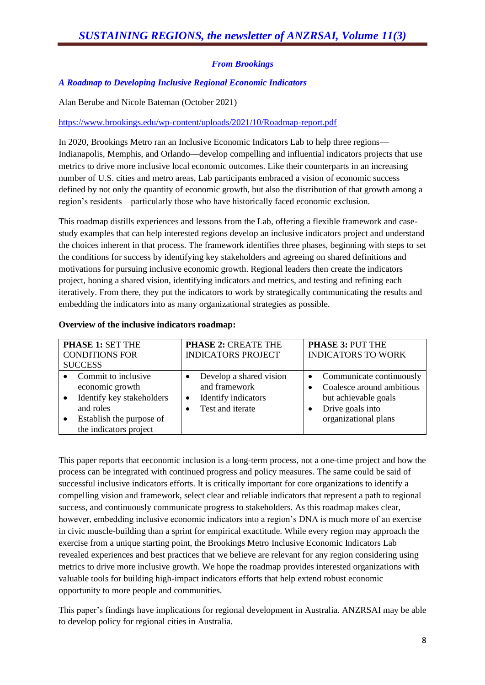# *From Brookings*

#### *A Roadmap to Developing Inclusive Regional Economic Indicators*

Alan Berube and Nicole Bateman (October 2021)

#### <https://www.brookings.edu/wp-content/uploads/2021/10/Roadmap-report.pdf>

In 2020, Brookings Metro ran an Inclusive Economic Indicators Lab to help three regions— Indianapolis, Memphis, and Orlando—develop compelling and influential indicators projects that use metrics to drive more inclusive local economic outcomes. Like their counterparts in an increasing number of U.S. cities and metro areas, Lab participants embraced a vision of economic success defined by not only the quantity of economic growth, but also the distribution of that growth among a region's residents—particularly those who have historically faced economic exclusion.

This roadmap distills experiences and lessons from the Lab, offering a flexible framework and casestudy examples that can help interested regions develop an inclusive indicators project and understand the choices inherent in that process. The framework identifies three phases, beginning with steps to set the conditions for success by identifying key stakeholders and agreeing on shared definitions and motivations for pursuing inclusive economic growth. Regional leaders then create the indicators project, honing a shared vision, identifying indicators and metrics, and testing and refining each iteratively. From there, they put the indicators to work by strategically communicating the results and embedding the indicators into as many organizational strategies as possible.

#### **Overview of the inclusive indicators roadmap:**

| PHASE 1: SET THE<br><b>CONDITIONS FOR</b><br><b>SUCCESS</b>                                                                                                                   | <b>PHASE 2: CREATE THE</b><br><b>INDICATORS PROJECT</b>                                  | <b>PHASE 3: PUT THE</b><br><b>INDICATORS TO WORK</b>                                                                                   |  |  |
|-------------------------------------------------------------------------------------------------------------------------------------------------------------------------------|------------------------------------------------------------------------------------------|----------------------------------------------------------------------------------------------------------------------------------------|--|--|
| Commit to inclusive<br>$\bullet$<br>economic growth<br>Identify key stakeholders<br>$\bullet$<br>and roles<br>Establish the purpose of<br>$\bullet$<br>the indicators project | Develop a shared vision<br>and framework<br>Identify indicators<br>٠<br>Test and iterate | Communicate continuously<br>$\bullet$<br>Coalesce around ambitious<br>but achievable goals<br>Drive goals into<br>organizational plans |  |  |

This paper reports that eeconomic inclusion is a long-term process, not a one-time project and how the process can be integrated with continued progress and policy measures. The same could be said of successful inclusive indicators efforts. It is critically important for core organizations to identify a compelling vision and framework, select clear and reliable indicators that represent a path to regional success, and continuously communicate progress to stakeholders. As this roadmap makes clear, however, embedding inclusive economic indicators into a region's DNA is much more of an exercise in civic muscle-building than a sprint for empirical exactitude. While every region may approach the exercise from a unique starting point, the Brookings Metro Inclusive Economic Indicators Lab revealed experiences and best practices that we believe are relevant for any region considering using metrics to drive more inclusive growth. We hope the roadmap provides interested organizations with valuable tools for building high-impact indicators efforts that help extend robust economic opportunity to more people and communities.

This paper's findings have implications for regional development in Australia. ANZRSAI may be able to develop policy for regional cities in Australia.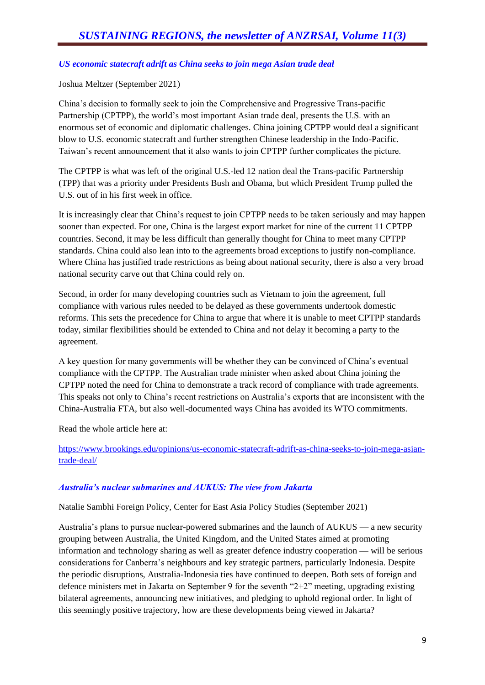#### *US economic statecraft adrift as China seeks to join mega Asian trade deal*

#### Joshua Meltzer (September 2021)

China's decision to formally seek to join the Comprehensive and Progressive Trans-pacific Partnership (CPTPP), the world's most important Asian trade deal, presents the U.S. with an enormous set of economic and diplomatic challenges. China joining CPTPP would deal a significant blow to U.S. economic statecraft and further strengthen Chinese leadership in the Indo-Pacific. Taiwan's recent announcement that it also wants to join CPTPP further complicates the picture.

The CPTPP is what was left of the original U.S.-led 12 nation deal the Trans-pacific Partnership (TPP) that was a priority under Presidents Bush and Obama, but which President Trump pulled the U.S. out of in his first week in office.

It is increasingly clear that China's request to join CPTPP needs to be taken seriously and may happen sooner than expected. For one, China is the largest export market for nine of the current 11 CPTPP countries. Second, it may be less difficult than generally thought for China to meet many CPTPP standards. China could also lean into to the agreements broad exceptions to justify non-compliance. Where China has justified trade restrictions as being about national security, there is also a very broad national security carve out that China could rely on.

Second, in order for many developing countries such as Vietnam to join the agreement, full compliance with various rules needed to be delayed as these governments undertook domestic reforms. This sets the precedence for China to argue that where it is unable to meet CPTPP standards today, similar flexibilities should be extended to China and not delay it becoming a party to the agreement.

A key question for many governments will be whether they can be convinced of China's eventual compliance with the CPTPP. The Australian trade minister when asked about China joining the CPTPP noted the need for China to demonstrate a track record of compliance with trade agreements. This speaks not only to China's recent restrictions on Australia's exports that are inconsistent with the China-Australia FTA, but also well-documented ways China has avoided its WTO commitments.

Read the whole article here at:

[https://www.brookings.edu/opinions/us-economic-statecraft-adrift-as-china-seeks-to-join-mega-asian](https://www.brookings.edu/opinions/us-economic-statecraft-adrift-as-china-seeks-to-join-mega-asian-trade-deal/)[trade-deal/](https://www.brookings.edu/opinions/us-economic-statecraft-adrift-as-china-seeks-to-join-mega-asian-trade-deal/)

#### *Australia's nuclear submarines and AUKUS: The view from Jakarta*

Natalie Sambhi Foreign Policy, Center for East Asia Policy Studies (September 2021)

Australia's plans to pursue nuclear-powered submarines and the launch of AUKUS — a new security grouping between Australia, the United Kingdom, and the United States aimed at promoting information and technology sharing as well as greater defence industry cooperation — will be serious considerations for Canberra's neighbours and key strategic partners, particularly Indonesia. Despite the periodic disruptions, Australia-Indonesia ties have continued to deepen. Both sets of foreign and defence ministers met in Jakarta on September 9 for the seventh "2+2" meeting, upgrading existing bilateral agreements, announcing new initiatives, and pledging to uphold regional order. In light of this seemingly positive trajectory, how are these developments being viewed in Jakarta?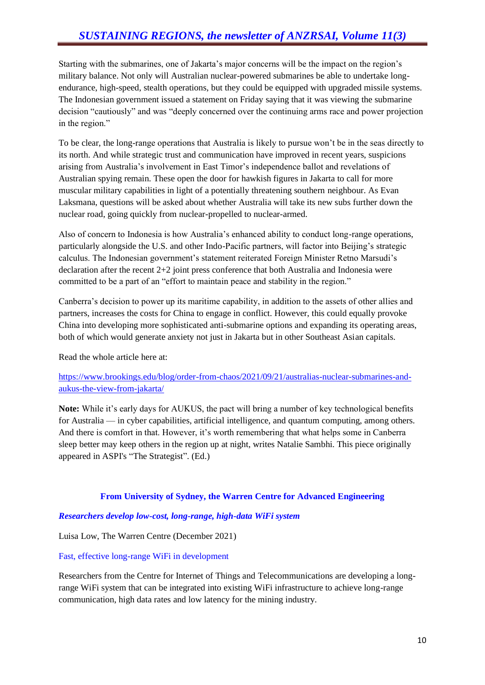Starting with the submarines, one of Jakarta's major concerns will be the impact on the region's military balance. Not only will Australian nuclear-powered submarines be able to undertake longendurance, high-speed, stealth operations, but they could be equipped with upgraded missile systems. The Indonesian government issued a statement on Friday saying that it was viewing the submarine decision "cautiously" and was "deeply concerned over the continuing arms race and power projection in the region."

To be clear, the long-range operations that Australia is likely to pursue won't be in the seas directly to its north. And while strategic trust and communication have improved in recent years, suspicions arising from Australia's involvement in East Timor's independence ballot and revelations of Australian spying remain. These open the door for hawkish figures in Jakarta to call for more muscular military capabilities in light of a potentially threatening southern neighbour. As Evan Laksmana, questions will be asked about whether Australia will take its new subs further down the nuclear road, going quickly from nuclear-propelled to nuclear-armed.

Also of concern to Indonesia is how Australia's enhanced ability to conduct long-range operations, particularly alongside the U.S. and other Indo-Pacific partners, will factor into Beijing's strategic calculus. The Indonesian government's statement reiterated Foreign Minister Retno Marsudi's declaration after the recent  $2+2$  joint press conference that both Australia and Indonesia were committed to be a part of an "effort to maintain peace and stability in the region."

Canberra's decision to power up its maritime capability, in addition to the assets of other allies and partners, increases the costs for China to engage in conflict. However, this could equally provoke China into developing more sophisticated anti-submarine options and expanding its operating areas, both of which would generate anxiety not just in Jakarta but in other Southeast Asian capitals.

Read the whole article here at:

#### [https://www.brookings.edu/blog/order-from-chaos/2021/09/21/australias-nuclear-submarines-and](https://www.brookings.edu/blog/order-from-chaos/2021/09/21/australias-nuclear-submarines-and-aukus-the-view-from-jakarta/)[aukus-the-view-from-jakarta/](https://www.brookings.edu/blog/order-from-chaos/2021/09/21/australias-nuclear-submarines-and-aukus-the-view-from-jakarta/)

**Note:** While it's early days for AUKUS, the pact will bring a number of key technological benefits for Australia — in cyber capabilities, artificial intelligence, and quantum computing, among others. And there is comfort in that. However, it's worth remembering that what helps some in Canberra sleep better may keep others in the region up at night, writes Natalie Sambhi. This piece originally appeared in ASPI's "The Strategist". (Ed.)

#### **From University of Sydney, the Warren Centre for Advanced Engineering**

#### *Researchers develop low-cost, long-range, high-data WiFi system*

Luisa Low, The Warren Centre (December 2021)

#### Fast, effective long-range WiFi in development

Researchers from the Centre for Internet of Things and Telecommunications are developing a longrange WiFi system that can be integrated into existing WiFi infrastructure to achieve long-range communication, high data rates and low latency for the mining industry.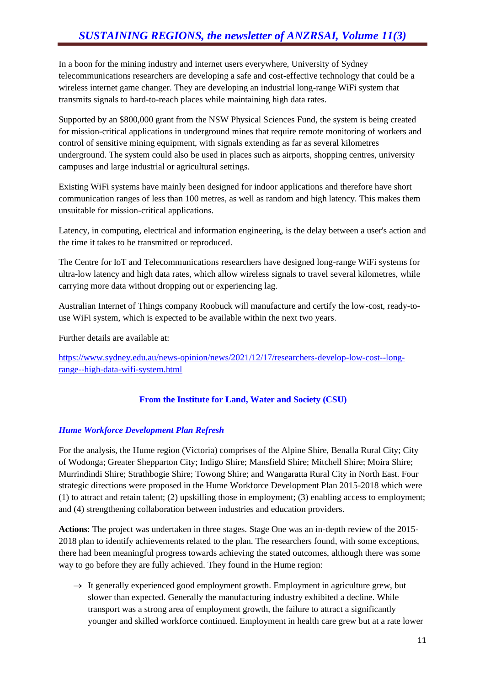In a boon for the mining industry and internet users everywhere, University of Sydney telecommunications researchers are developing a safe and cost-effective technology that could be a wireless internet game changer. They are developing an industrial long-range WiFi system that transmits signals to hard-to-reach places while maintaining high data rates.

Supported by an \$800,000 grant from the NSW Physical Sciences Fund, the system is being created for mission-critical applications in underground mines that require remote monitoring of workers and control of sensitive mining equipment, with signals extending as far as several kilometres underground. The system could also be used in places such as airports, shopping centres, university campuses and large industrial or agricultural settings.

Existing WiFi systems have mainly been designed for indoor applications and therefore have short communication ranges of less than 100 metres, as well as random and high latency. This makes them unsuitable for mission-critical applications.

Latency, in computing, electrical and information engineering, is the delay between a user's action and the time it takes to be transmitted or reproduced.

The Centre for IoT and Telecommunications researchers have designed long-range WiFi systems for ultra-low latency and high data rates, which allow wireless signals to travel several kilometres, while carrying more data without dropping out or experiencing lag.

Australian Internet of Things company Roobuck will manufacture and certify the low-cost, ready-touse WiFi system, which is expected to be available within the next two years.

Further details are available at:

[https://www.sydney.edu.au/news-opinion/news/2021/12/17/researchers-develop-low-cost--long](https://www.sydney.edu.au/news-opinion/news/2021/12/17/researchers-develop-low-cost--long-range--high-data-wifi-system.html)[range--high-data-wifi-system.html](https://www.sydney.edu.au/news-opinion/news/2021/12/17/researchers-develop-low-cost--long-range--high-data-wifi-system.html)

# **From the Institute for Land, Water and Society (CSU)**

# *Hume Workforce Development Plan Refresh*

For the analysis, the Hume region (Victoria) comprises of the Alpine Shire, Benalla Rural City; City of Wodonga; Greater Shepparton City; Indigo Shire; Mansfield Shire; Mitchell Shire; Moira Shire; Murrindindi Shire; Strathbogie Shire; Towong Shire; and Wangaratta Rural City in North East. Four strategic directions were proposed in the Hume Workforce Development Plan 2015-2018 which were (1) to attract and retain talent; (2) upskilling those in employment; (3) enabling access to employment; and (4) strengthening collaboration between industries and education providers.

**Actions**: The project was undertaken in three stages. Stage One was an in-depth review of the 2015- 2018 plan to identify achievements related to the plan. The researchers found, with some exceptions, there had been meaningful progress towards achieving the stated outcomes, although there was some way to go before they are fully achieved. They found in the Hume region:

 $\rightarrow$  It generally experienced good employment growth. Employment in agriculture grew, but slower than expected. Generally the manufacturing industry exhibited a decline. While transport was a strong area of employment growth, the failure to attract a significantly younger and skilled workforce continued. Employment in health care grew but at a rate lower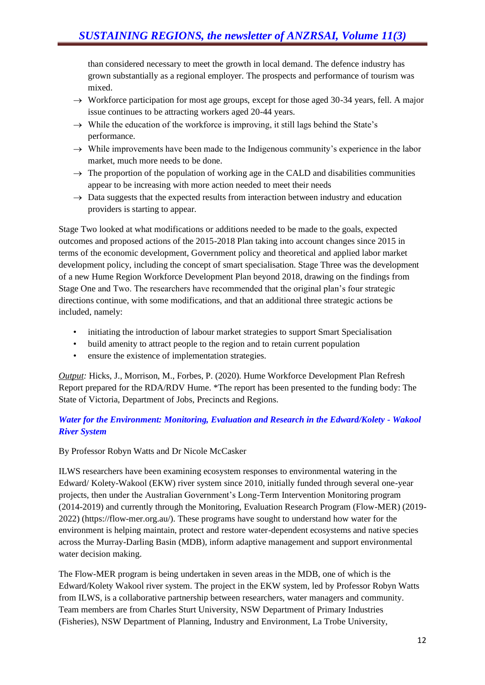than considered necessary to meet the growth in local demand. The defence industry has grown substantially as a regional employer. The prospects and performance of tourism was mixed.

- $\rightarrow$  Workforce participation for most age groups, except for those aged 30-34 years, fell. A major issue continues to be attracting workers aged 20-44 years.
- $\rightarrow$  While the education of the workforce is improving, it still lags behind the State's performance.
- $\rightarrow$  While improvements have been made to the Indigenous community's experience in the labor market, much more needs to be done.
- $\rightarrow$  The proportion of the population of working age in the CALD and disabilities communities appear to be increasing with more action needed to meet their needs
- $\rightarrow$  Data suggests that the expected results from interaction between industry and education providers is starting to appear.

Stage Two looked at what modifications or additions needed to be made to the goals, expected outcomes and proposed actions of the 2015-2018 Plan taking into account changes since 2015 in terms of the economic development, Government policy and theoretical and applied labor market development policy, including the concept of smart specialisation. Stage Three was the development of a new Hume Region Workforce Development Plan beyond 2018, drawing on the findings from Stage One and Two. The researchers have recommended that the original plan's four strategic directions continue, with some modifications, and that an additional three strategic actions be included, namely:

- initiating the introduction of labour market strategies to support Smart Specialisation
- build amenity to attract people to the region and to retain current population
- ensure the existence of implementation strategies.

*Output:* Hicks, J., Morrison, M., Forbes, P. (2020). Hume Workforce Development Plan Refresh Report prepared for the RDA/RDV Hume. \*The report has been presented to the funding body: The State of Victoria, Department of Jobs, Precincts and Regions.

# *Water for the Environment: Monitoring, Evaluation and Research in the Edward/Kolety - Wakool River System*

#### By Professor Robyn Watts and Dr Nicole McCasker

ILWS researchers have been examining ecosystem responses to environmental watering in the Edward/ Kolety-Wakool (EKW) river system since 2010, initially funded through several one-year projects, then under the Australian Government's Long-Term Intervention Monitoring program (2014-2019) and currently through the Monitoring, Evaluation Research Program (Flow-MER) (2019- 2022) (https://flow-mer.org.au/). These programs have sought to understand how water for the environment is helping maintain, protect and restore water-dependent ecosystems and native species across the Murray-Darling Basin (MDB), inform adaptive management and support environmental water decision making.

The Flow-MER program is being undertaken in seven areas in the MDB, one of which is the Edward/Kolety Wakool river system. The project in the EKW system, led by Professor Robyn Watts from ILWS, is a collaborative partnership between researchers, water managers and community. Team members are from Charles Sturt University, NSW Department of Primary Industries (Fisheries), NSW Department of Planning, Industry and Environment, La Trobe University,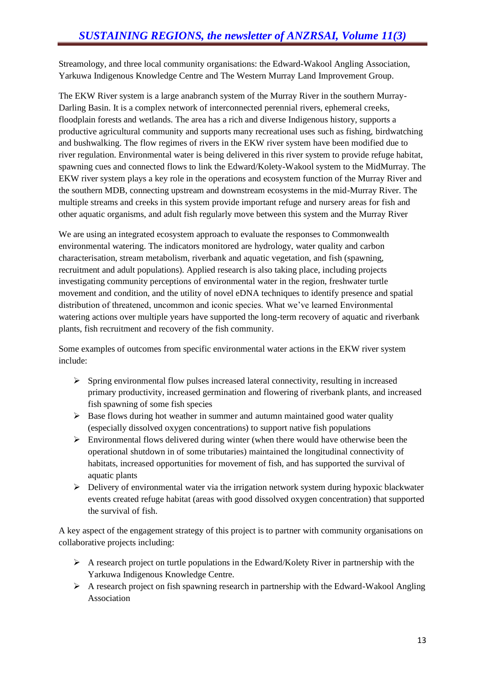Streamology, and three local community organisations: the Edward-Wakool Angling Association, Yarkuwa Indigenous Knowledge Centre and The Western Murray Land Improvement Group.

The EKW River system is a large anabranch system of the Murray River in the southern Murray-Darling Basin. It is a complex network of interconnected perennial rivers, ephemeral creeks, floodplain forests and wetlands. The area has a rich and diverse Indigenous history, supports a productive agricultural community and supports many recreational uses such as fishing, birdwatching and bushwalking. The flow regimes of rivers in the EKW river system have been modified due to river regulation. Environmental water is being delivered in this river system to provide refuge habitat, spawning cues and connected flows to link the Edward/Kolety-Wakool system to the MidMurray. The EKW river system plays a key role in the operations and ecosystem function of the Murray River and the southern MDB, connecting upstream and downstream ecosystems in the mid-Murray River. The multiple streams and creeks in this system provide important refuge and nursery areas for fish and other aquatic organisms, and adult fish regularly move between this system and the Murray River

We are using an integrated ecosystem approach to evaluate the responses to Commonwealth environmental watering. The indicators monitored are hydrology, water quality and carbon characterisation, stream metabolism, riverbank and aquatic vegetation, and fish (spawning, recruitment and adult populations). Applied research is also taking place, including projects investigating community perceptions of environmental water in the region, freshwater turtle movement and condition, and the utility of novel eDNA techniques to identify presence and spatial distribution of threatened, uncommon and iconic species. What we've learned Environmental watering actions over multiple years have supported the long-term recovery of aquatic and riverbank plants, fish recruitment and recovery of the fish community.

Some examples of outcomes from specific environmental water actions in the EKW river system include:

- $\triangleright$  Spring environmental flow pulses increased lateral connectivity, resulting in increased primary productivity, increased germination and flowering of riverbank plants, and increased fish spawning of some fish species
- $\triangleright$  Base flows during hot weather in summer and autumn maintained good water quality (especially dissolved oxygen concentrations) to support native fish populations
- $\triangleright$  Environmental flows delivered during winter (when there would have otherwise been the operational shutdown in of some tributaries) maintained the longitudinal connectivity of habitats, increased opportunities for movement of fish, and has supported the survival of aquatic plants
- $\triangleright$  Delivery of environmental water via the irrigation network system during hypoxic blackwater events created refuge habitat (areas with good dissolved oxygen concentration) that supported the survival of fish.

A key aspect of the engagement strategy of this project is to partner with community organisations on collaborative projects including:

- $\triangleright$  A research project on turtle populations in the Edward/Kolety River in partnership with the Yarkuwa Indigenous Knowledge Centre.
- $\triangleright$  A research project on fish spawning research in partnership with the Edward-Wakool Angling Association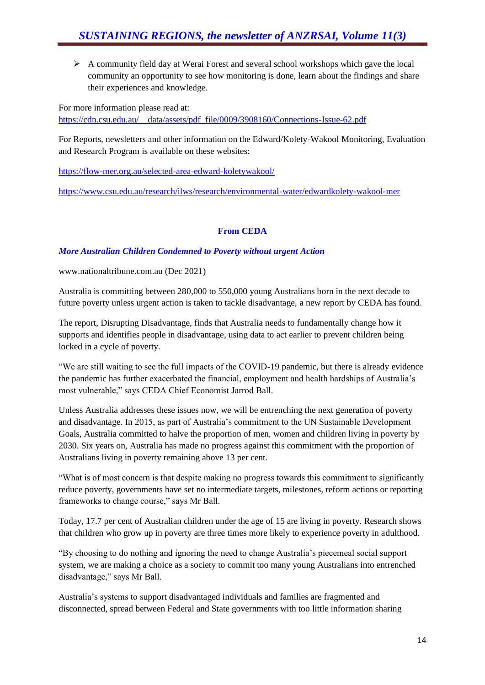$\triangleright$  A community field day at Werai Forest and several school workshops which gave the local community an opportunity to see how monitoring is done, learn about the findings and share their experiences and knowledge.

For more information please read at: [https://cdn.csu.edu.au/\\_\\_data/assets/pdf\\_file/0009/3908160/Connections-Issue-62.pdf](https://cdn.csu.edu.au/__data/assets/pdf_file/0009/3908160/Connections-Issue-62.pdf)

For Reports, newsletters and other information on the Edward/Kolety-Wakool Monitoring, Evaluation and Research Program is available on these websites:

<https://flow-mer.org.au/selected-area-edward-koletywakool/>

<https://www.csu.edu.au/research/ilws/research/environmental-water/edwardkolety-wakool-mer>

# **From CEDA**

# *More Australian Children Condemned to Poverty without urgent Action*

www.nationaltribune.com.au (Dec 2021)

Australia is committing between 280,000 to 550,000 young Australians born in the next decade to future poverty unless urgent action is taken to tackle disadvantage, a new report by CEDA has found.

The report, Disrupting Disadvantage, finds that Australia needs to fundamentally change how it supports and identifies people in disadvantage, using data to act earlier to prevent children being locked in a cycle of poverty.

"We are still waiting to see the full impacts of the COVID-19 pandemic, but there is already evidence the pandemic has further exacerbated the financial, employment and health hardships of Australia's most vulnerable," says CEDA Chief Economist Jarrod Ball.

Unless Australia addresses these issues now, we will be entrenching the next generation of poverty and disadvantage. In 2015, as part of Australia's commitment to the UN Sustainable Development Goals, Australia committed to halve the proportion of men, women and children living in poverty by 2030. Six years on, Australia has made no progress against this commitment with the proportion of Australians living in poverty remaining above 13 per cent.

"What is of most concern is that despite making no progress towards this commitment to significantly reduce poverty, governments have set no intermediate targets, milestones, reform actions or reporting frameworks to change course," says Mr Ball.

Today, 17.7 per cent of Australian children under the age of 15 are living in poverty. Research shows that children who grow up in poverty are three times more likely to experience poverty in adulthood.

"By choosing to do nothing and ignoring the need to change Australia's piecemeal social support system, we are making a choice as a society to commit too many young Australians into entrenched disadvantage," says Mr Ball.

Australia's systems to support disadvantaged individuals and families are fragmented and disconnected, spread between Federal and State governments with too little information sharing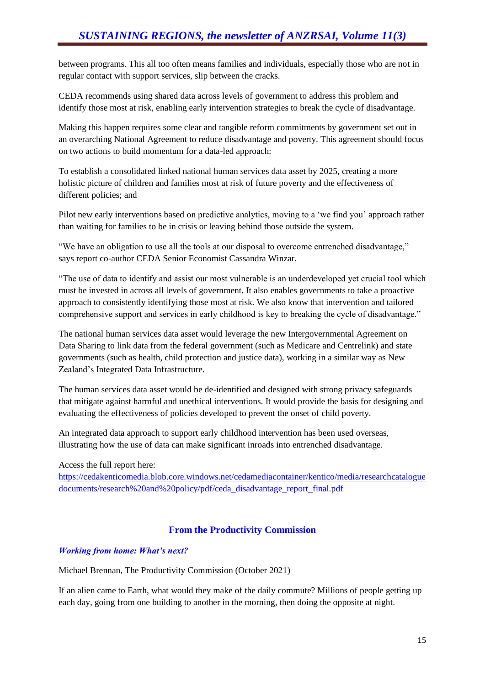between programs. This all too often means families and individuals, especially those who are not in regular contact with support services, slip between the cracks.

CEDA recommends using shared data across levels of government to address this problem and identify those most at risk, enabling early intervention strategies to break the cycle of disadvantage.

Making this happen requires some clear and tangible reform commitments by government set out in an overarching National Agreement to reduce disadvantage and poverty. This agreement should focus on two actions to build momentum for a data-led approach:

To establish a consolidated linked national human services data asset by 2025, creating a more holistic picture of children and families most at risk of future poverty and the effectiveness of different policies; and

Pilot new early interventions based on predictive analytics, moving to a 'we find you' approach rather than waiting for families to be in crisis or leaving behind those outside the system.

"We have an obligation to use all the tools at our disposal to overcome entrenched disadvantage," says report co-author CEDA Senior Economist Cassandra Winzar.

"The use of data to identify and assist our most vulnerable is an underdeveloped yet crucial tool which must be invested in across all levels of government. It also enables governments to take a proactive approach to consistently identifying those most at risk. We also know that intervention and tailored comprehensive support and services in early childhood is key to breaking the cycle of disadvantage."

The national human services data asset would leverage the new Intergovernmental Agreement on Data Sharing to link data from the federal government (such as Medicare and Centrelink) and state governments (such as health, child protection and justice data), working in a similar way as New Zealand's Integrated Data Infrastructure.

The human services data asset would be de-identified and designed with strong privacy safeguards that mitigate against harmful and unethical interventions. It would provide the basis for designing and evaluating the effectiveness of policies developed to prevent the onset of child poverty.

An integrated data approach to support early childhood intervention has been used overseas, illustrating how the use of data can make significant inroads into entrenched disadvantage.

Access the full report here:

[https://cedakenticomedia.blob.core.windows.net/cedamediacontainer/kentico/media/researchcatalogue](https://cedakenticomedia.blob.core.windows.net/cedamediacontainer/kentico/media/researchcataloguedocuments/research%20and%20policy/pdf/ceda_disadvantage_report_final.pdf) [documents/research%20and%20policy/pdf/ceda\\_disadvantage\\_report\\_final.pdf](https://cedakenticomedia.blob.core.windows.net/cedamediacontainer/kentico/media/researchcataloguedocuments/research%20and%20policy/pdf/ceda_disadvantage_report_final.pdf)

# **From the Productivity Commission**

#### *Working from home: What's next?*

Michael Brennan, The Productivity Commission (October 2021)

If an alien came to Earth, what would they make of the daily commute? Millions of people getting up each day, going from one building to another in the morning, then doing the opposite at night.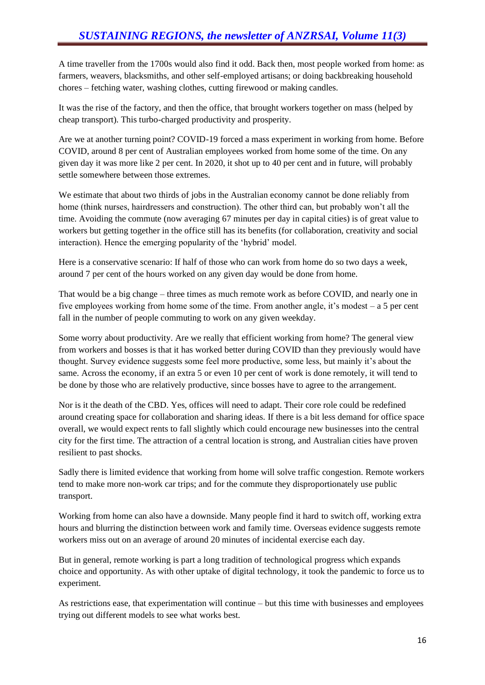A time traveller from the 1700s would also find it odd. Back then, most people worked from home: as farmers, weavers, blacksmiths, and other self-employed artisans; or doing backbreaking household chores – fetching water, washing clothes, cutting firewood or making candles.

It was the rise of the factory, and then the office, that brought workers together on mass (helped by cheap transport). This turbo-charged productivity and prosperity.

Are we at another turning point? COVID-19 forced a mass experiment in working from home. Before COVID, around 8 per cent of Australian employees worked from home some of the time. On any given day it was more like 2 per cent. In 2020, it shot up to 40 per cent and in future, will probably settle somewhere between those extremes.

We estimate that about two thirds of jobs in the Australian economy cannot be done reliably from home (think nurses, hairdressers and construction). The other third can, but probably won't all the time. Avoiding the commute (now averaging 67 minutes per day in capital cities) is of great value to workers but getting together in the office still has its benefits (for collaboration, creativity and social interaction). Hence the emerging popularity of the 'hybrid' model.

Here is a conservative scenario: If half of those who can work from home do so two days a week, around 7 per cent of the hours worked on any given day would be done from home.

That would be a big change – three times as much remote work as before COVID, and nearly one in five employees working from home some of the time. From another angle, it's modest  $- a 5$  per cent fall in the number of people commuting to work on any given weekday.

Some worry about productivity. Are we really that efficient working from home? The general view from workers and bosses is that it has worked better during COVID than they previously would have thought. Survey evidence suggests some feel more productive, some less, but mainly it's about the same. Across the economy, if an extra 5 or even 10 per cent of work is done remotely, it will tend to be done by those who are relatively productive, since bosses have to agree to the arrangement.

Nor is it the death of the CBD. Yes, offices will need to adapt. Their core role could be redefined around creating space for collaboration and sharing ideas. If there is a bit less demand for office space overall, we would expect rents to fall slightly which could encourage new businesses into the central city for the first time. The attraction of a central location is strong, and Australian cities have proven resilient to past shocks.

Sadly there is limited evidence that working from home will solve traffic congestion. Remote workers tend to make more non-work car trips; and for the commute they disproportionately use public transport.

Working from home can also have a downside. Many people find it hard to switch off, working extra hours and blurring the distinction between work and family time. Overseas evidence suggests remote workers miss out on an average of around 20 minutes of incidental exercise each day.

But in general, remote working is part a long tradition of technological progress which expands choice and opportunity. As with other uptake of digital technology, it took the pandemic to force us to experiment.

As restrictions ease, that experimentation will continue – but this time with businesses and employees trying out different models to see what works best.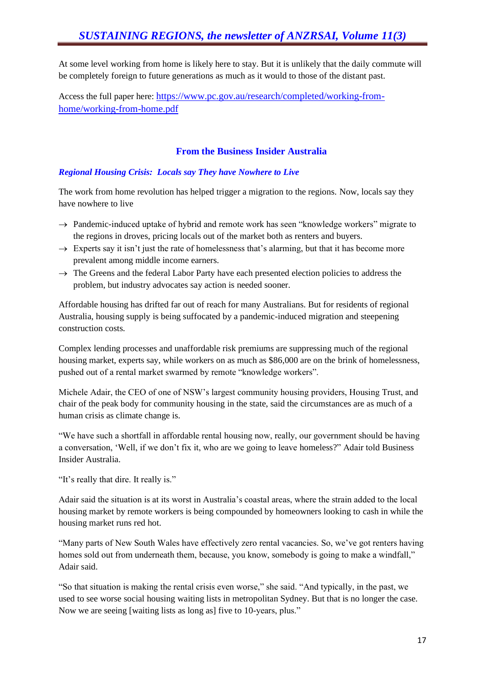At some level working from home is likely here to stay. But it is unlikely that the daily commute will be completely foreign to future generations as much as it would to those of the distant past.

Access the full paper here: [https://www.pc.gov.au/research/completed/working-from](https://www.pc.gov.au/research/completed/working-from-home/working-from-home.pdf)[home/working-from-home.pdf](https://www.pc.gov.au/research/completed/working-from-home/working-from-home.pdf)

# **From the Business Insider Australia**

# *Regional Housing Crisis: Locals say They have Nowhere to Live*

The work from home revolution has helped trigger a migration to the regions. Now, locals say they have nowhere to live

- $\rightarrow$  Pandemic-induced uptake of hybrid and remote work has seen "knowledge workers" migrate to the regions in droves, pricing locals out of the market both as renters and buyers.
- $\rightarrow$  Experts say it isn't just the rate of homelessness that's alarming, but that it has become more prevalent among middle income earners.
- $\rightarrow$  The Greens and the federal Labor Party have each presented election policies to address the problem, but industry advocates say action is needed sooner.

Affordable housing has drifted far out of reach for many Australians. But for residents of regional Australia, housing supply is being suffocated by a pandemic-induced migration and steepening construction costs.

Complex lending processes and unaffordable risk premiums are suppressing much of the regional housing market, experts say, while workers on as much as \$86,000 are on the brink of homelessness, pushed out of a rental market swarmed by remote "knowledge workers".

Michele Adair, the CEO of one of NSW's largest community housing providers, Housing Trust, and chair of the peak body for community housing in the state, said the circumstances are as much of a human crisis as climate change is.

"We have such a shortfall in affordable rental housing now, really, our government should be having a conversation, 'Well, if we don't fix it, who are we going to leave homeless?" Adair told Business Insider Australia.

"It's really that dire. It really is."

Adair said the situation is at its worst in Australia's coastal areas, where the strain added to the local housing market by remote workers is being compounded by homeowners looking to cash in while the housing market runs red hot.

"Many parts of New South Wales have effectively zero rental vacancies. So, we've got renters having homes sold out from underneath them, because, you know, somebody is going to make a windfall," Adair said.

"So that situation is making the rental crisis even worse," she said. "And typically, in the past, we used to see worse social housing waiting lists in metropolitan Sydney. But that is no longer the case. Now we are seeing [waiting lists as long as] five to 10-years, plus."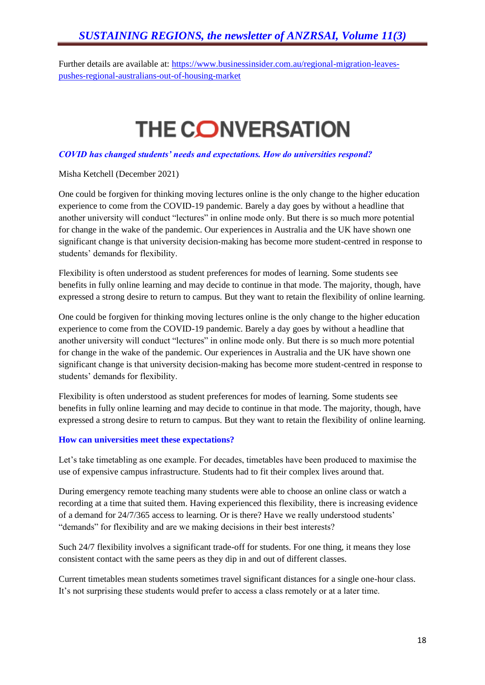# *SUSTAINING REGIONS, the newsletter of ANZRSAI, Volume 11(3)*

Further details are available at: [https://www.businessinsider.com.au/regional-migration-leaves](https://www.businessinsider.com.au/regional-migration-leaves-pushes-regional-australians-out-of-housing-market)[pushes-regional-australians-out-of-housing-market](https://www.businessinsider.com.au/regional-migration-leaves-pushes-regional-australians-out-of-housing-market)

# **THE CONVERSATION**

#### *COVID has changed students' needs and expectations. How do universities respond?*

Misha Ketchell (December 2021)

One could be forgiven for thinking moving lectures online is the only change to the higher education experience to come from the COVID-19 pandemic. Barely a day goes by without a headline that another university will conduct "lectures" in online mode only. But there is so much more potential for change in the wake of the pandemic. Our experiences in Australia and the UK have shown one significant change is that university decision-making has become more student-centred in response to students' demands for flexibility.

Flexibility is often understood as student preferences for modes of learning. Some students see benefits in fully online learning and may decide to continue in that mode. The majority, though, have expressed a strong desire to return to campus. But they want to retain the flexibility of online learning.

One could be forgiven for thinking moving lectures online is the only change to the higher education experience to come from the COVID-19 pandemic. Barely a day goes by without a headline that another university will conduct "lectures" in online mode only. But there is so much more potential for change in the wake of the pandemic. Our experiences in Australia and the UK have shown one significant change is that university decision-making has become more student-centred in response to students' demands for flexibility.

Flexibility is often understood as student preferences for modes of learning. Some students see benefits in fully online learning and may decide to continue in that mode. The majority, though, have expressed a strong desire to return to campus. But they want to retain the flexibility of online learning.

#### **How can universities meet these expectations?**

Let's take timetabling as one example. For decades, timetables have been produced to maximise the use of expensive campus infrastructure. Students had to fit their complex lives around that.

During emergency remote teaching many students were able to choose an online class or watch a recording at a time that suited them. Having experienced this flexibility, there is increasing evidence of a demand for 24/7/365 access to learning. Or is there? Have we really understood students' "demands" for flexibility and are we making decisions in their best interests?

Such 24/7 flexibility involves a significant trade-off for students. For one thing, it means they lose consistent contact with the same peers as they dip in and out of different classes.

Current timetables mean students sometimes travel significant distances for a single one-hour class. It's not surprising these students would prefer to access a class remotely or at a later time.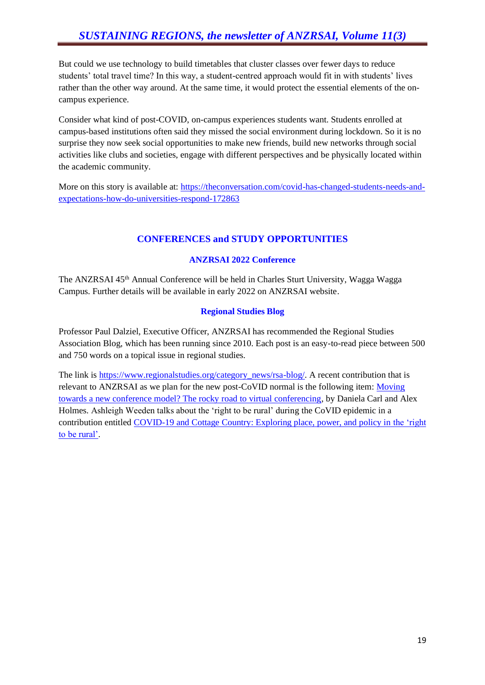But could we use technology to build timetables that cluster classes over fewer days to reduce students' total travel time? In this way, a student-centred approach would fit in with students' lives rather than the other way around. At the same time, it would protect the essential elements of the oncampus experience.

Consider what kind of post-COVID, on-campus experiences students want. Students enrolled at campus-based institutions often said they missed the social environment during lockdown. So it is no surprise they now seek social opportunities to make new friends, build new networks through social activities like clubs and societies, engage with different perspectives and be physically located within the academic community.

More on this story is available at: [https://theconversation.com/covid-has-changed-students-needs-and](https://theconversation.com/covid-has-changed-students-needs-and-expectations-how-do-universities-respond-172863)[expectations-how-do-universities-respond-172863](https://theconversation.com/covid-has-changed-students-needs-and-expectations-how-do-universities-respond-172863)

# **CONFERENCES and STUDY OPPORTUNITIES**

# **ANZRSAI 2022 Conference**

The ANZRSAI 45<sup>th</sup> Annual Conference will be held in Charles Sturt University, Wagga Wagga Campus. Further details will be available in early 2022 on ANZRSAI website.

# **Regional Studies Blog**

Professor Paul Dalziel, Executive Officer, ANZRSAI has recommended the Regional Studies Association Blog, which has been running since 2010. Each post is an easy-to-read piece between 500 and 750 words on a topical issue in regional studies.

The link is [https://www.regionalstudies.org/category\\_news/rsa-blog/.](https://www.regionalstudies.org/category_news/rsa-blog/) A recent contribution that is relevant to ANZRSAI as we plan for the new post-CoVID normal is the following item: [Moving](https://www.regionalstudies.org/news/moving-towards-a-new-conference-model-the-rocky-road-to-virtual-conferencing/)  [towards a new conference model? The rocky road to virtual conferencing,](https://www.regionalstudies.org/news/moving-towards-a-new-conference-model-the-rocky-road-to-virtual-conferencing/) by Daniela Carl and Alex Holmes. Ashleigh Weeden talks about the 'right to be rural' during the CoVID epidemic in a contribution entitled COVID-19 and Cottage Country: Exploring place, power, and policy in the 'right [to be rural'.](https://www.regionalstudies.org/news/covid-19-and-cottage-country-exploring-place-power-and-policy-in-the-right-to-be-rural/)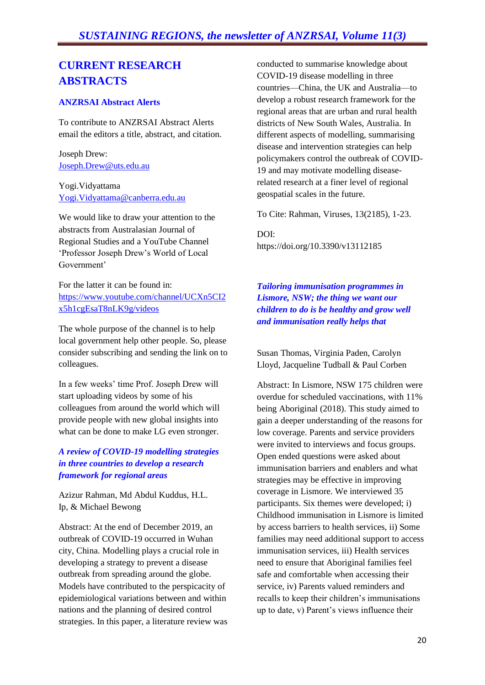# **CURRENT RESEARCH ABSTRACTS**

# **ANZRSAI Abstract Alerts**

To contribute to ANZRSAI Abstract Alerts email the editors a title, abstract, and citation.

Joseph Drew: [Joseph.Drew@uts.edu.au](mailto:Joseph.Drew@uts.edu.au)

Yogi.Vidyattama [Yogi.Vidyattama@canberra.edu.au](mailto:Yogi.Vidyattama@canberra.edu.au)

We would like to draw your attention to the abstracts from Australasian Journal of Regional Studies and a YouTube Channel 'Professor Joseph Drew's World of Local Government'

For the latter it can be found in: [https://www.youtube.com/channel/UCXn5CI2](http://antispam.csu.edu.au:32224/?dmVyPTEuMDAxJiZlNzRmZTZlNjQ0YTRhNTgwZj02MTlBQjJEOF85MDM5NF8xNTEwMl8xJiYxOGZiOWEzYjNkMWMzOWI9MTMzMyYmdXJsPWh0dHBzJTNBJTJGJTJGd3d3JTJFeW91dHViZSUyRWNvbSUyRmNoYW5uZWwlMkZVQ1huNUNJMng1aDFjZ0VzYVQ4bkxLOWclMkZ2aWRlb3M=) [x5h1cgEsaT8nLK9g/videos](http://antispam.csu.edu.au:32224/?dmVyPTEuMDAxJiZlNzRmZTZlNjQ0YTRhNTgwZj02MTlBQjJEOF85MDM5NF8xNTEwMl8xJiYxOGZiOWEzYjNkMWMzOWI9MTMzMyYmdXJsPWh0dHBzJTNBJTJGJTJGd3d3JTJFeW91dHViZSUyRWNvbSUyRmNoYW5uZWwlMkZVQ1huNUNJMng1aDFjZ0VzYVQ4bkxLOWclMkZ2aWRlb3M=)

The whole purpose of the channel is to help local government help other people. So, please consider subscribing and sending the link on to colleagues.

In a few weeks' time Prof. Joseph Drew will start uploading videos by some of his colleagues from around the world which will provide people with new global insights into what can be done to make LG even stronger.

#### *A review of COVID-19 modelling strategies in three countries to develop a research framework for regional areas*

Azizur Rahman, Md Abdul Kuddus, H.L. Ip, & Michael Bewong

Abstract: At the end of December 2019, an outbreak of COVID-19 occurred in Wuhan city, China. Modelling plays a crucial role in developing a strategy to prevent a disease outbreak from spreading around the globe. Models have contributed to the perspicacity of epidemiological variations between and within nations and the planning of desired control strategies. In this paper, a literature review was conducted to summarise knowledge about COVID-19 disease modelling in three countries—China, the UK and Australia—to develop a robust research framework for the regional areas that are urban and rural health districts of New South Wales, Australia. In different aspects of modelling, summarising disease and intervention strategies can help policymakers control the outbreak of COVID-19 and may motivate modelling diseaserelated research at a finer level of regional geospatial scales in the future.

To Cite: Rahman, Viruses, 13(2185), 1-23.

DOI: https://doi.org/10.3390/v13112185

*Tailoring immunisation programmes in Lismore, NSW; the thing we want our children to do is be healthy and grow well and immunisation really helps that*

Susan Thomas, Virginia Paden, Carolyn Lloyd, Jacqueline Tudball & Paul Corben

Abstract: In Lismore, NSW 175 children were overdue for scheduled vaccinations, with 11% being Aboriginal (2018). This study aimed to gain a deeper understanding of the reasons for low coverage. Parents and service providers were invited to interviews and focus groups. Open ended questions were asked about immunisation barriers and enablers and what strategies may be effective in improving coverage in Lismore. We interviewed 35 participants. Six themes were developed; i) Childhood immunisation in Lismore is limited by access barriers to health services, ii) Some families may need additional support to access immunisation services, iii) Health services need to ensure that Aboriginal families feel safe and comfortable when accessing their service, iv) Parents valued reminders and recalls to keep their children's immunisations up to date, v) Parent's views influence their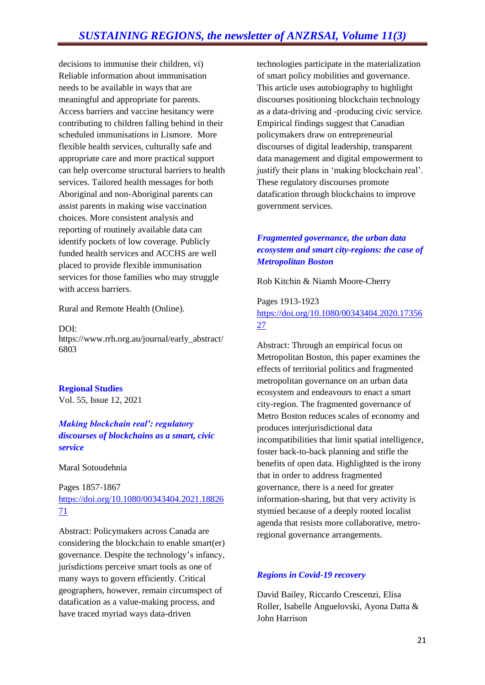decisions to immunise their children, vi) Reliable information about immunisation needs to be available in ways that are meaningful and appropriate for parents. Access barriers and vaccine hesitancy were contributing to children falling behind in their scheduled immunisations in Lismore. More flexible health services, culturally safe and appropriate care and more practical support can help overcome structural barriers to health services. Tailored health messages for both Aboriginal and non-Aboriginal parents can assist parents in making wise vaccination choices. More consistent analysis and reporting of routinely available data can identify pockets of low coverage. Publicly funded health services and ACCHS are well placed to provide flexible immunisation services for those families who may struggle with access barriers.

Rural and Remote Health (Online).

#### DOI:

https://www.rrh.org.au/journal/early\_abstract/ 6803

**Regional Studies** Vol. 55, Issue 12, 2021

# *Making blockchain real': regulatory discourses of blockchains as a smart, civic service*

#### Maral Sotoudehnia

# Pages 1857-1867 [https://doi.org/10.1080/00343404.2021.18826](https://doi.org/10.1080/00343404.2021.1882671) [71](https://doi.org/10.1080/00343404.2021.1882671)

Abstract: Policymakers across Canada are considering the blockchain to enable smart(er) governance. Despite the technology's infancy, jurisdictions perceive smart tools as one of many ways to govern efficiently. Critical geographers, however, remain circumspect of datafication as a value-making process, and have traced myriad ways data-driven

technologies participate in the materialization of smart policy mobilities and governance. This article uses autobiography to highlight discourses positioning blockchain technology as a data-driving and -producing civic service. Empirical findings suggest that Canadian policymakers draw on entrepreneurial discourses of digital leadership, transparent data management and digital empowerment to justify their plans in 'making blockchain real'. These regulatory discourses promote datafication through blockchains to improve government services.

# *Fragmented governance, the urban data ecosystem and smart city-regions: the case of Metropolitan Boston*

Rob Kitchin & Niamh Moore-Cherry

Pages 1913-1923 [https://doi.org/10.1080/00343404.2020.17356](https://doi.org/10.1080/00343404.2020.1735627) [27](https://doi.org/10.1080/00343404.2020.1735627)

Abstract: Through an empirical focus on Metropolitan Boston, this paper examines the effects of territorial politics and fragmented metropolitan governance on an urban data ecosystem and endeavours to enact a smart city-region. The fragmented governance of Metro Boston reduces scales of economy and produces interjurisdictional data incompatibilities that limit spatial intelligence, foster back-to-back planning and stifle the benefits of open data. Highlighted is the irony that in order to address fragmented governance, there is a need for greater information-sharing, but that very activity is stymied because of a deeply rooted localist agenda that resists more collaborative, metroregional governance arrangements.

# *Regions in Covid-19 recovery*

David Bailey, Riccardo Crescenzi, Elisa Roller, Isabelle Anguelovski, Ayona Datta & John Harrison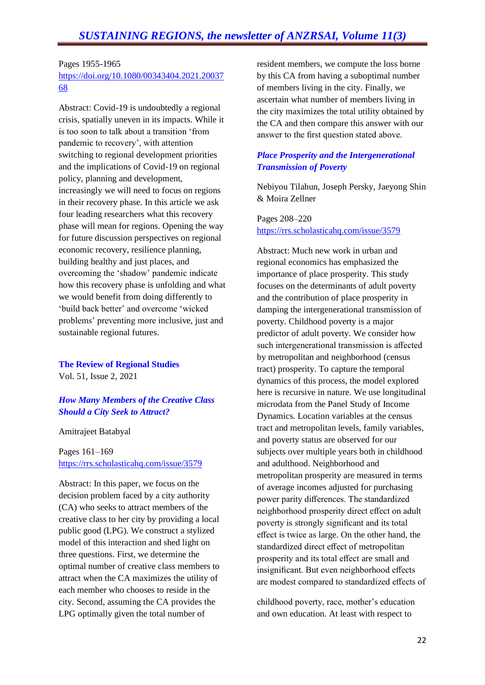#### Pages 1955-1965 [https://doi.org/10.1080/00343404.2021.20037](https://doi.org/10.1080/00343404.2021.2003768) [68](https://doi.org/10.1080/00343404.2021.2003768)

Abstract: Covid-19 is undoubtedly a regional crisis, spatially uneven in its impacts. While it is too soon to talk about a transition 'from pandemic to recovery', with attention switching to regional development priorities and the implications of Covid-19 on regional policy, planning and development, increasingly we will need to focus on regions in their recovery phase. In this article we ask four leading researchers what this recovery phase will mean for regions. Opening the way for future discussion perspectives on regional economic recovery, resilience planning, building healthy and just places, and overcoming the 'shadow' pandemic indicate how this recovery phase is unfolding and what we would benefit from doing differently to 'build back better' and overcome 'wicked problems' preventing more inclusive, just and sustainable regional futures.

**The Review of Regional Studies** Vol. 51, Issue 2, 2021

# *How Many Members of the Creative Class Should a City Seek to Attract?*

Amitrajeet Batabyal

Pages 161–169 <https://rrs.scholasticahq.com/issue/3579>

Abstract: In this paper, we focus on the decision problem faced by a city authority (CA) who seeks to attract members of the creative class to her city by providing a local public good (LPG). We construct a stylized model of this interaction and shed light on three questions. First, we determine the optimal number of creative class members to attract when the CA maximizes the utility of each member who chooses to reside in the city. Second, assuming the CA provides the LPG optimally given the total number of

resident members, we compute the loss borne by this CA from having a suboptimal number of members living in the city. Finally, we ascertain what number of members living in the city maximizes the total utility obtained by the CA and then compare this answer with our answer to the first question stated above.

# *Place Prosperity and the Intergenerational Transmission of Poverty*

Nebiyou Tilahun, Joseph Persky, Jaeyong Shin & Moira Zellner

Pages 208–220 <https://rrs.scholasticahq.com/issue/3579>

Abstract: Much new work in urban and regional economics has emphasized the importance of place prosperity. This study focuses on the determinants of adult poverty and the contribution of place prosperity in damping the intergenerational transmission of poverty. Childhood poverty is a major predictor of adult poverty. We consider how such intergenerational transmission is affected by metropolitan and neighborhood (census tract) prosperity. To capture the temporal dynamics of this process, the model explored here is recursive in nature. We use longitudinal microdata from the Panel Study of Income Dynamics. Location variables at the census tract and metropolitan levels, family variables, and poverty status are observed for our subjects over multiple years both in childhood and adulthood. Neighborhood and metropolitan prosperity are measured in terms of average incomes adjusted for purchasing power parity differences. The standardized neighborhood prosperity direct effect on adult poverty is strongly significant and its total effect is twice as large. On the other hand, the standardized direct effect of metropolitan prosperity and its total effect are small and insignificant. But even neighborhood effects are modest compared to standardized effects of

childhood poverty, race, mother's education and own education. At least with respect to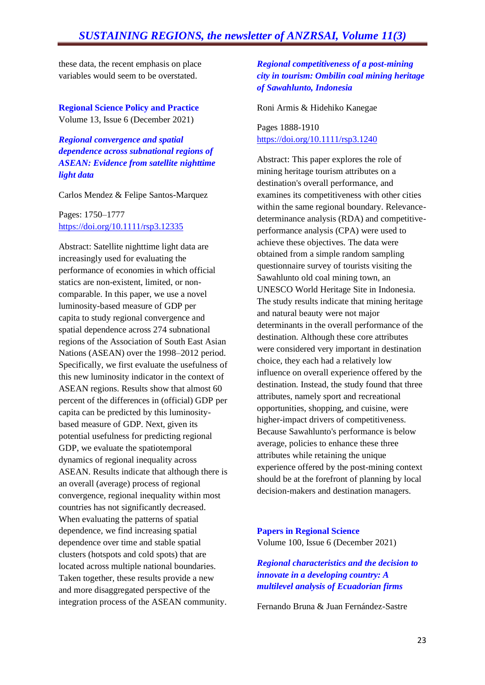these data, the recent emphasis on place variables would seem to be overstated.

**Regional Science Policy and Practice**  Volume 13, Issue 6 (December 2021)

*Regional convergence and spatial dependence across subnational regions of ASEAN: Evidence from satellite nighttime light data*

Carlos Mendez & Felipe Santos-Marquez

Pages: 1750–1777 <https://doi.org/10.1111/rsp3.12335>

Abstract: Satellite nighttime light data are increasingly used for evaluating the performance of economies in which official statics are non-existent, limited, or noncomparable. In this paper, we use a novel luminosity-based measure of GDP per capita to study regional convergence and spatial dependence across 274 subnational regions of the Association of South East Asian Nations (ASEAN) over the 1998–2012 period. Specifically, we first evaluate the usefulness of this new luminosity indicator in the context of ASEAN regions. Results show that almost 60 percent of the differences in (official) GDP per capita can be predicted by this luminositybased measure of GDP. Next, given its potential usefulness for predicting regional GDP, we evaluate the spatiotemporal dynamics of regional inequality across ASEAN. Results indicate that although there is an overall (average) process of regional convergence, regional inequality within most countries has not significantly decreased. When evaluating the patterns of spatial dependence, we find increasing spatial dependence over time and stable spatial clusters (hotspots and cold spots) that are located across multiple national boundaries. Taken together, these results provide a new and more disaggregated perspective of the integration process of the ASEAN community.

# *Regional competitiveness of a post-mining city in tourism: Ombilin coal mining heritage of Sawahlunto, Indonesia*

Roni Armis & Hidehiko Kanegae

Pages 1888-1910 [https://doi.org/10.1111/rsp3.1240](https://doi.org/10.1111/rsp3.12404)

Abstract: This paper explores the role of mining heritage tourism attributes on a destination's overall performance, and examines its competitiveness with other cities within the same regional boundary. Relevancedeterminance analysis (RDA) and competitiveperformance analysis (CPA) were used to achieve these objectives. The data were obtained from a simple random sampling questionnaire survey of tourists visiting the Sawahlunto old coal mining town, an UNESCO World Heritage Site in Indonesia. The study results indicate that mining heritage and natural beauty were not major determinants in the overall performance of the destination. Although these core attributes were considered very important in destination choice, they each had a relatively low influence on overall experience offered by the destination. Instead, the study found that three attributes, namely sport and recreational opportunities, shopping, and cuisine, were higher-impact drivers of competitiveness. Because Sawahlunto's performance is below average, policies to enhance these three attributes while retaining the unique experience offered by the post-mining context should be at the forefront of planning by local decision-makers and destination managers.

**Papers in Regional Science** Volume 100, Issue 6 (December 2021)

*Regional characteristics and the decision to innovate in a developing country: A multilevel analysis of Ecuadorian firms*

Fernando Bruna & Juan Fernández-Sastre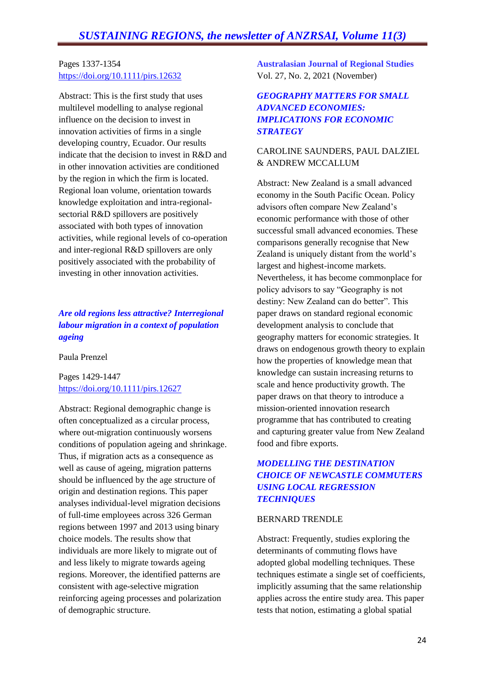# Pages 1337-1354 <https://doi.org/10.1111/pirs.12632>

Abstract: This is the first study that uses multilevel modelling to analyse regional influence on the decision to invest in innovation activities of firms in a single developing country, Ecuador. Our results indicate that the decision to invest in R&D and in other innovation activities are conditioned by the region in which the firm is located. Regional loan volume, orientation towards knowledge exploitation and intra-regionalsectorial R&D spillovers are positively associated with both types of innovation activities, while regional levels of co-operation and inter-regional R&D spillovers are only positively associated with the probability of investing in other innovation activities.

# *Are old regions less attractive? Interregional labour migration in a context of population ageing*

Paula Prenzel

Pages 1429-1447 <https://doi.org/10.1111/pirs.12627>

Abstract: Regional demographic change is often conceptualized as a circular process, where out-migration continuously worsens conditions of population ageing and shrinkage. Thus, if migration acts as a consequence as well as cause of ageing, migration patterns should be influenced by the age structure of origin and destination regions. This paper analyses individual-level migration decisions of full-time employees across 326 German regions between 1997 and 2013 using binary choice models. The results show that individuals are more likely to migrate out of and less likely to migrate towards ageing regions. Moreover, the identified patterns are consistent with age-selective migration reinforcing ageing processes and polarization of demographic structure.

**Australasian Journal of Regional Studies** Vol. 27, No. 2, 2021 (November)

# *GEOGRAPHY MATTERS FOR SMALL ADVANCED ECONOMIES: IMPLICATIONS FOR ECONOMIC STRATEGY*

# CAROLINE SAUNDERS, PAUL DALZIEL & ANDREW MCCALLUM

Abstract: New Zealand is a small advanced economy in the South Pacific Ocean. Policy advisors often compare New Zealand's economic performance with those of other successful small advanced economies. These comparisons generally recognise that New Zealand is uniquely distant from the world's largest and highest-income markets. Nevertheless, it has become commonplace for policy advisors to say "Geography is not destiny: New Zealand can do better". This paper draws on standard regional economic development analysis to conclude that geography matters for economic strategies. It draws on endogenous growth theory to explain how the properties of knowledge mean that knowledge can sustain increasing returns to scale and hence productivity growth. The paper draws on that theory to introduce a mission-oriented innovation research programme that has contributed to creating and capturing greater value from New Zealand food and fibre exports.

# *MODELLING THE DESTINATION CHOICE OF NEWCASTLE COMMUTERS USING LOCAL REGRESSION TECHNIQUES*

#### BERNARD TRENDLE

Abstract: Frequently, studies exploring the determinants of commuting flows have adopted global modelling techniques. These techniques estimate a single set of coefficients, implicitly assuming that the same relationship applies across the entire study area. This paper tests that notion, estimating a global spatial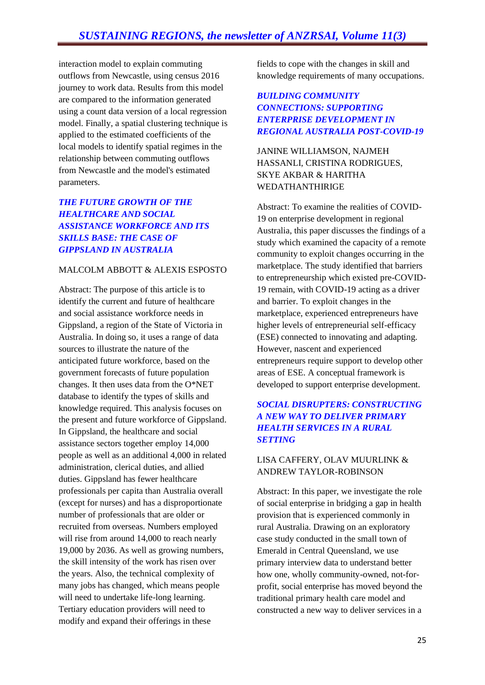interaction model to explain commuting outflows from Newcastle, using census 2016 journey to work data. Results from this model are compared to the information generated using a count data version of a local regression model. Finally, a spatial clustering technique is applied to the estimated coefficients of the local models to identify spatial regimes in the relationship between commuting outflows from Newcastle and the model's estimated parameters.

# *THE FUTURE GROWTH OF THE HEALTHCARE AND SOCIAL ASSISTANCE WORKFORCE AND ITS SKILLS BASE: THE CASE OF GIPPSLAND IN AUSTRALIA*

# MALCOLM ABBOTT & ALEXIS ESPOSTO

Abstract: The purpose of this article is to identify the current and future of healthcare and social assistance workforce needs in Gippsland, a region of the State of Victoria in Australia. In doing so, it uses a range of data sources to illustrate the nature of the anticipated future workforce, based on the government forecasts of future population changes. It then uses data from the O\*NET database to identify the types of skills and knowledge required. This analysis focuses on the present and future workforce of Gippsland. In Gippsland, the healthcare and social assistance sectors together employ 14,000 people as well as an additional 4,000 in related administration, clerical duties, and allied duties. Gippsland has fewer healthcare professionals per capita than Australia overall (except for nurses) and has a disproportionate number of professionals that are older or recruited from overseas. Numbers employed will rise from around 14,000 to reach nearly 19,000 by 2036. As well as growing numbers, the skill intensity of the work has risen over the years. Also, the technical complexity of many jobs has changed, which means people will need to undertake life-long learning. Tertiary education providers will need to modify and expand their offerings in these

fields to cope with the changes in skill and knowledge requirements of many occupations.

# *BUILDING COMMUNITY CONNECTIONS: SUPPORTING ENTERPRISE DEVELOPMENT IN REGIONAL AUSTRALIA POST-COVID-19*

JANINE WILLIAMSON, NAJMEH HASSANLI, CRISTINA RODRIGUES, SKYE AKBAR & HARITHA WEDATHANTHIRIGE

Abstract: To examine the realities of COVID-19 on enterprise development in regional Australia, this paper discusses the findings of a study which examined the capacity of a remote community to exploit changes occurring in the marketplace. The study identified that barriers to entrepreneurship which existed pre-COVID-19 remain, with COVID-19 acting as a driver and barrier. To exploit changes in the marketplace, experienced entrepreneurs have higher levels of entrepreneurial self-efficacy (ESE) connected to innovating and adapting. However, nascent and experienced entrepreneurs require support to develop other areas of ESE. A conceptual framework is developed to support enterprise development.

# *SOCIAL DISRUPTERS: CONSTRUCTING A NEW WAY TO DELIVER PRIMARY HEALTH SERVICES IN A RURAL SETTING*

# LISA CAFFERY, OLAV MUURLINK & ANDREW TAYLOR-ROBINSON

Abstract: In this paper, we investigate the role of social enterprise in bridging a gap in health provision that is experienced commonly in rural Australia. Drawing on an exploratory case study conducted in the small town of Emerald in Central Queensland, we use primary interview data to understand better how one, wholly community-owned, not-forprofit, social enterprise has moved beyond the traditional primary health care model and constructed a new way to deliver services in a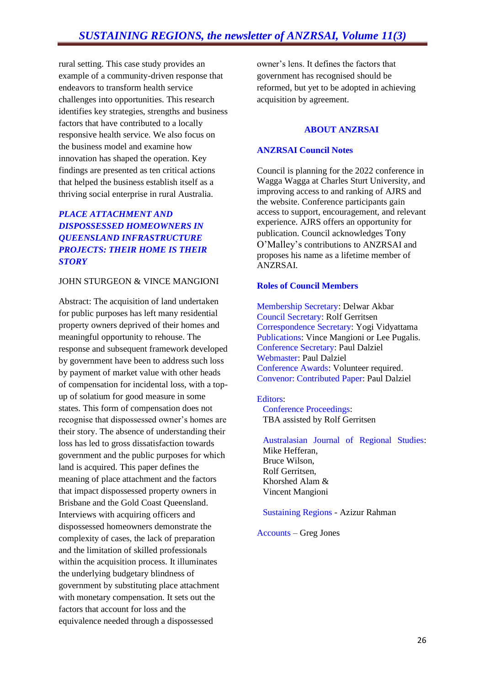rural setting. This case study provides an example of a community-driven response that endeavors to transform health service challenges into opportunities. This research identifies key strategies, strengths and business factors that have contributed to a locally responsive health service. We also focus on the business model and examine how innovation has shaped the operation. Key findings are presented as ten critical actions that helped the business establish itself as a thriving social enterprise in rural Australia.

# *PLACE ATTACHMENT AND DISPOSSESSED HOMEOWNERS IN QUEENSLAND INFRASTRUCTURE PROJECTS: THEIR HOME IS THEIR STORY*

#### JOHN STURGEON & VINCE MANGIONI

Abstract: The acquisition of land undertaken for public purposes has left many residential property owners deprived of their homes and meaningful opportunity to rehouse. The response and subsequent framework developed by government have been to address such loss by payment of market value with other heads of compensation for incidental loss, with a topup of solatium for good measure in some states. This form of compensation does not recognise that dispossessed owner's homes are their story. The absence of understanding their loss has led to gross dissatisfaction towards government and the public purposes for which land is acquired. This paper defines the meaning of place attachment and the factors that impact dispossessed property owners in Brisbane and the Gold Coast Queensland. Interviews with acquiring officers and dispossessed homeowners demonstrate the complexity of cases, the lack of preparation and the limitation of skilled professionals within the acquisition process. It illuminates the underlying budgetary blindness of government by substituting place attachment with monetary compensation. It sets out the factors that account for loss and the equivalence needed through a dispossessed

owner's lens. It defines the factors that government has recognised should be reformed, but yet to be adopted in achieving acquisition by agreement.

#### **ABOUT ANZRSAI**

#### **ANZRSAI Council Notes**

Council is planning for the 2022 conference in Wagga Wagga at Charles Sturt University, and improving access to and ranking of AJRS and the website. Conference participants gain access to support, encouragement, and relevant experience. AJRS offers an opportunity for publication. Council acknowledges Tony O'Malley's contributions to ANZRSAI and proposes his name as a lifetime member of ANZRSAI.

#### **Roles of Council Members**

Membership Secretary: Delwar Akbar Council Secretary: Rolf Gerritsen Correspondence Secretary: Yogi Vidyattama Publications: Vince Mangioni or Lee Pugalis. Conference Secretary: Paul Dalziel Webmaster: Paul Dalziel Conference Awards: Volunteer required. Convenor: Contributed Paper: Paul Dalziel

#### Editors:

Conference Proceedings: TBA assisted by Rolf Gerritsen

Australasian Journal of Regional Studies: Mike Hefferan, Bruce Wilson, Rolf Gerritsen, Khorshed Alam & Vincent Mangioni

#### Sustaining Regions - Azizur Rahman

Accounts – Greg Jones